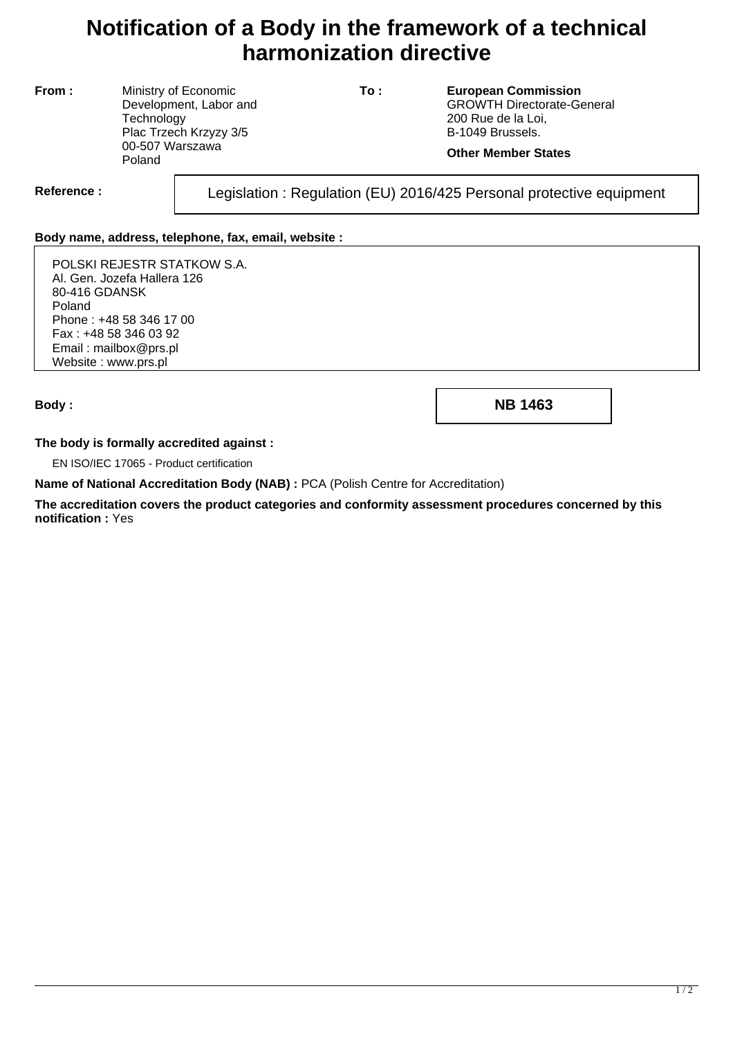# **Notification of a Body in the framework of a technical harmonization directive**

**From :** Ministry of Economic Development, Labor and **Technology** Plac Trzech Krzyzy 3/5 00-507 Warszawa Poland

**To : European Commission** GROWTH Directorate-General 200 Rue de la Loi, B-1049 Brussels.

### **Other Member States**

Reference : Legislation : Regulation (EU) 2016/425 Personal protective equipment

## **Body name, address, telephone, fax, email, website :**

POLSKI REJESTR STATKOW S.A. Al. Gen. Jozefa Hallera 126 80-416 GDANSK Poland Phone : +48 58 346 17 00 Fax : +48 58 346 03 92 Email : mailbox@prs.pl Website : www.prs.pl

**Body : NB 1463**

### **The body is formally accredited against :**

EN ISO/IEC 17065 - Product certification

**Name of National Accreditation Body (NAB) :** PCA (Polish Centre for Accreditation)

**The accreditation covers the product categories and conformity assessment procedures concerned by this notification :** Yes